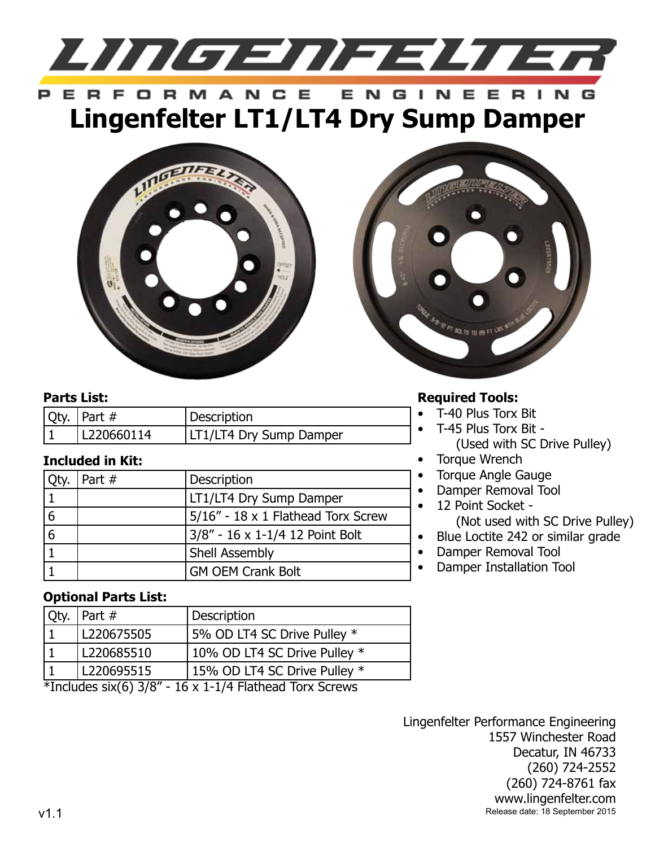

#### ERFORMANCE F. NGINEER **Lingenfelter LT1/LT4 Dry Sump Damper**





#### **Parts List:**

| $\sqrt{Q}$ ty.   Part # | Description                    |
|-------------------------|--------------------------------|
| L220660114              | <b>LT1/LT4 Dry Sump Damper</b> |

# **Included in Kit:**

|   | Part $#$ | Description                           |
|---|----------|---------------------------------------|
|   |          | LT1/LT4 Dry Sump Damper               |
|   |          | $5/16''$ - 18 x 1 Flathead Torx Screw |
| 6 |          | $3/8"$ - 16 x 1-1/4 12 Point Bolt     |
|   |          | <b>Shell Assembly</b>                 |
|   |          | <b>GM OEM Crank Bolt</b>              |

# **Required Tools:**

- • T-40 Plus Torx Bit
	- T-45 Plus Torx Bit -(Used with SC Drive Pulley)
- **Torque Wrench**
- Torque Angle Gauge
- Damper Removal Tool
- 12 Point Socket -(Not used with SC Drive Pulley)
- Blue Loctite 242 or similar grade
- Damper Removal Tool
- **Damper Installation Tool**

### **Optional Parts List:**

|                                                                  | $\sqrt{Q}$ ty. $\sqrt{P}$ art # | Description                  |  |
|------------------------------------------------------------------|---------------------------------|------------------------------|--|
|                                                                  | L220675505                      | 5% OD LT4 SC Drive Pulley *  |  |
|                                                                  | L220685510                      | 10% OD LT4 SC Drive Pulley * |  |
|                                                                  | L220695515                      | 15% OD LT4 SC Drive Pulley * |  |
| *Includes $\text{six}(6)$ 3/8" - 16 x 1-1/4 Flathead Torx Screws |                                 |                              |  |

Lingenfelter Performance Engineering 1557 Winchester Road Decatur, IN 46733 (260) 724-2552 (260) 724-8761 fax www.lingenfelter.com v1.1 Release date: 18 September 2015